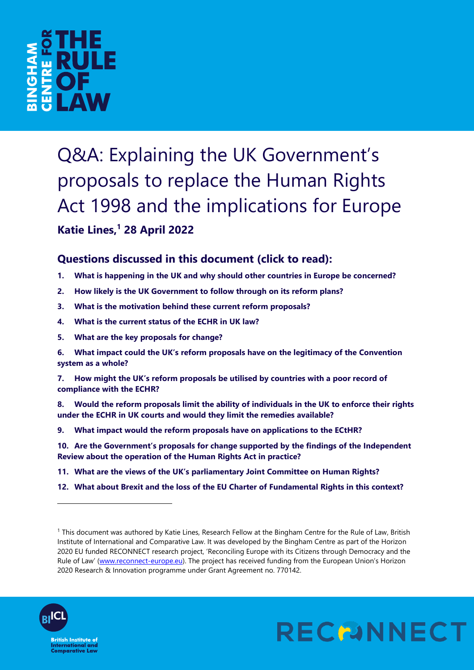

Q&A: Explaining the UK Government's proposals to replace the Human Rights Act 1998 and the implications for Europe **Katie Lines, <sup>1</sup> 28 April 2022**

## **Questions discussed in this document (click to read):**

- **1. [What is happening in the UK and why should other countries in Europe be concerned?](#page-1-0)**
- **2. [How likely is the UK Government to follow through on its reform plans?](#page-1-1)**
- **3. [What is the motivation behind these current reform proposals?](#page-1-2)**
- **4. [What is the current status of the ECHR in UK law?](#page-2-0)**
- **5. [What are the key proposals for change?](#page-2-1)**
- **6. [What impact could the UK's reform proposals have on the legitimacy of the Convention](#page-4-0)  [system as a whole?](#page-4-0)**

**7. How might th[e UK's reform proposals be utilised by countries with a poor record of](#page-4-1)  [compliance with the ECHR?](#page-4-1)**

**8. [Would the reform proposals limit the ability of individuals in the UK to enforce their rights](#page-4-2)  [under the ECHR in UK courts and would they limit the remedies available?](#page-4-2)**

**9. [What impact would the reform proposals have on applications to the ECtHR?](#page-5-0)**

**10. [Are the Government's proposals for change supported by the findings of the Independent](#page-5-1)  [Review about the operation of the Human Rights Act in practice?](#page-5-1)**

- **11. [What are the views of the UK's parliamentary Joint Committee on Human Rights?](#page-6-0)**
- **12. [What about Brexit and the loss of the EU Charter of Fundamental Rights in this context?](#page-6-1)**

<sup>1</sup> This document was authored by Katie Lines, Research Fellow at the Bingham Centre for the Rule of Law, British Institute of International and Comparative Law. It was developed by the Bingham Centre as part of the Horizon 2020 EU funded RECONNECT research project, 'Reconciling Europe with its Citizens through Democracy and the Rule of Law' ([www.reconnect-europe.eu\)](http://www.reconnect-europe.eu/). The project has received funding from the European Union's Horizon 2020 Research & Innovation programme under Grant Agreement no. 770142.



l

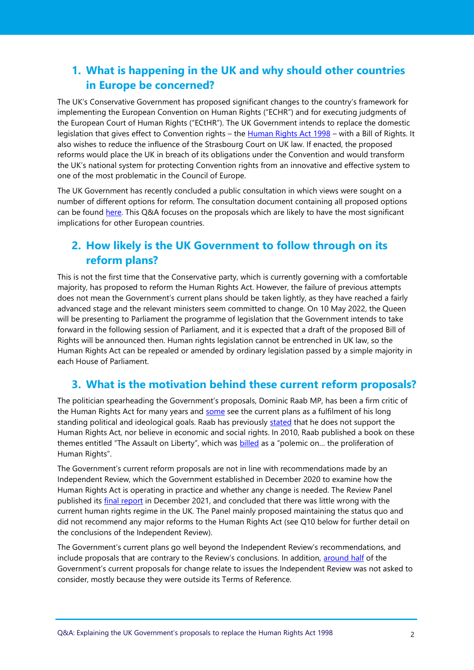## <span id="page-1-0"></span>**1. What is happening in the UK and why should other countries in Europe be concerned?**

The UK's Conservative Government has proposed significant changes to the country's framework for implementing the European Convention on Human Rights ("ECHR") and for executing judgments of the European Court of Human Rights ("ECtHR"). The UK Government intends to replace the domestic legislation that gives effect to Convention rights – the [Human Rights Act 1998](https://www.legislation.gov.uk/ukpga/1998/42/contents) – with a Bill of Rights. It also wishes to reduce the influence of the Strasbourg Court on UK law. If enacted, the proposed reforms would place the UK in breach of its obligations under the Convention and would transform the UK's national system for protecting Convention rights from an innovative and effective system to one of the most problematic in the Council of Europe.

The UK Government has recently concluded a public consultation in which views were sought on a number of different options for reform. The consultation document containing all proposed options can be found [here.](https://www.gov.uk/government/consultations/human-rights-act-reform-a-modern-bill-of-rights/human-rights-act-reform-a-modern-bill-of-rights-consultation) This Q&A focuses on the proposals which are likely to have the most significant implications for other European countries.

## <span id="page-1-1"></span>**2. How likely is the UK Government to follow through on its reform plans?**

This is not the first time that the Conservative party, which is currently governing with a comfortable majority, has proposed to reform the Human Rights Act. However, the failure of previous attempts does not mean the Government's current plans should be taken lightly, as they have reached a fairly advanced stage and the relevant ministers seem committed to change. On 10 May 2022, the Queen will be presenting to Parliament the programme of legislation that the Government intends to take forward in the following session of Parliament, and it is expected that a draft of the proposed Bill of Rights will be announced then. Human rights legislation cannot be entrenched in UK law, so the Human Rights Act can be repealed or amended by ordinary legislation passed by a simple majority in each House of Parliament.

### <span id="page-1-2"></span>**3. What is the motivation behind these current reform proposals?**

The politician spearheading the Government's proposals, Dominic Raab MP, has been a firm critic of the Human Rights Act for many years and [some](https://www.theguardian.com/politics/2021/dec/14/dominic-raabs-paper-seen-as-fulfilment-of-quest-to-destroy-human-rights-act) see the current plans as a fulfilment of his long standing political and ideological goals. Raab has previously [stated](https://www.independent.co.uk/news/uk/politics/dominic-raab-human-rights-act-reshuffle-b1921962.html) that he does not support the Human Rights Act, nor believe in economic and social rights. In 2010, Raab published a book on these themes entitled "The Assault on Liberty", which was **[billed](https://www.4thestate.co.uk/book/the-assault-on-liberty-what-went-wrong-with-rights-9780007293391/)** as a "polemic on... the proliferation of Human Rights".

The Government's current reform proposals are not in line with recommendations made by an Independent Review, which the Government established in December 2020 to examine how the Human Rights Act is operating in practice and whether any change is needed. The Review Panel published its [final report](https://assets.publishing.service.gov.uk/government/uploads/system/uploads/attachment_data/file/1040525/ihrar-final-report.pdf) in December 2021, and concluded that there was little wrong with the current human rights regime in the UK. The Panel mainly proposed maintaining the status quo and did not recommend any major reforms to the Human Rights Act (see Q10 below for further detail on the conclusions of the Independent Review).

The Government's current plans go well beyond the Independent Review's recommendations, and include proposals that are contrary to the Review's conclusions. In addition, [around half](https://ukhumanrightsblog.com/2022/01/24/the-independent-human-rights-act-review-and-the-governments-bill-of-rights/) of the Government's current proposals for change relate to issues the Independent Review was not asked to consider, mostly because they were outside its Terms of Reference.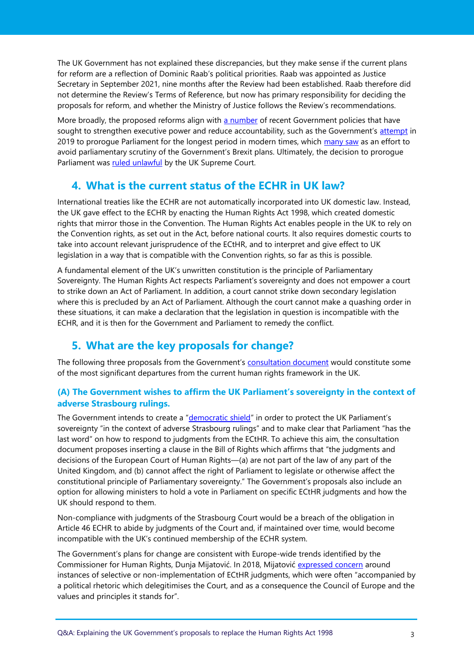The UK Government has not explained these discrepancies, but they make sense if the current plans for reform are a reflection of Dominic Raab's political priorities. Raab was appointed as Justice Secretary in September 2021, nine months after the Review had been established. Raab therefore did not determine the Review's Terms of Reference, but now has primary responsibility for deciding the proposals for reform, and whether the Ministry of Justice follows the Review's recommendations.

More broadly, the proposed reforms align with [a number](https://ukconstitutionallaw.org/2021/05/17/ronan-cormacain-unaccountability-the-disease-within-government/) of recent Government policies that have sought to strengthen executive power and reduce accountability, such as the Government's [attempt](https://commonslibrary.parliament.uk/research-briefings/cbp-9006/) in 2019 to prorogue Parliament for the longest period in modern times, which [many saw](https://inews.co.uk/news/politics/parliament-prorogued-boris-johnson-commons-protest-336591) as an effort to avoid parliamentary scrutiny of the Government's Brexit plans. Ultimately, the decision to prorogue Parliament was [ruled unlawful](https://www.supremecourt.uk/cases/docs/uksc-2019-0192-judgment.pdf) by the UK Supreme Court.

### <span id="page-2-0"></span>**4. What is the current status of the ECHR in UK law?**

International treaties like the ECHR are not automatically incorporated into UK domestic law. Instead, the UK gave effect to the ECHR by enacting the Human Rights Act 1998, which created domestic rights that mirror those in the Convention. The Human Rights Act enables people in the UK to rely on the Convention rights, as set out in the Act, before national courts. It also requires domestic courts to take into account relevant jurisprudence of the ECtHR, and to interpret and give effect to UK legislation in a way that is compatible with the Convention rights, so far as this is possible.

A fundamental element of the UK's unwritten constitution is the principle of Parliamentary Sovereignty. The Human Rights Act respects Parliament's sovereignty and does not empower a court to strike down an Act of Parliament. In addition, a court cannot strike down secondary legislation where this is precluded by an Act of Parliament. Although the court cannot make a quashing order in these situations, it can make a declaration that the legislation in question is incompatible with the ECHR, and it is then for the Government and Parliament to remedy the conflict.

### <span id="page-2-1"></span>**5. What are the key proposals for change?**

The following three proposals from the Government's [consultation document](https://www.gov.uk/government/consultations/human-rights-act-reform-a-modern-bill-of-rights/human-rights-act-reform-a-modern-bill-of-rights-consultation) would constitute some of the most significant departures from the current human rights framework in the UK.

#### **(A) The Government wishes to affirm the UK Parliament's sovereignty in the context of adverse Strasbourg rulings.**

The Government intends to create a "[democratic shield](https://www.gov.uk/government/consultations/human-rights-act-reform-a-modern-bill-of-rights/human-rights-act-reform-a-modern-bill-of-rights-consultation#chapter-4--the-governments-proposals)" in order to protect the UK Parliament's sovereignty "in the context of adverse Strasbourg rulings" and to make clear that Parliament "has the last word" on how to respond to judgments from the ECtHR. To achieve this aim, the consultation document proposes inserting a clause in the Bill of Rights which affirms that "the judgments and decisions of the European Court of Human Rights—(a) are not part of the law of any part of the United Kingdom, and (b) cannot affect the right of Parliament to legislate or otherwise affect the constitutional principle of Parliamentary sovereignty." The Government's proposals also include an option for allowing ministers to hold a vote in Parliament on specific ECtHR judgments and how the UK should respond to them.

Non-compliance with judgments of the Strasbourg Court would be a breach of the obligation in Article 46 ECHR to abide by judgments of the Court and, if maintained over time, would become incompatible with the UK's continued membership of the ECHR system.

The Government's plans for change are consistent with Europe-wide trends identified by the Commissioner for Human Rights, Dunja Mijatović. In 2018, Mijatović [expressed concern](https://rm.coe.int/09000016808f1ed5) around instances of selective or non-implementation of ECtHR judgments, which were often "accompanied by a political rhetoric which delegitimises the Court, and as a consequence the Council of Europe and the values and principles it stands for".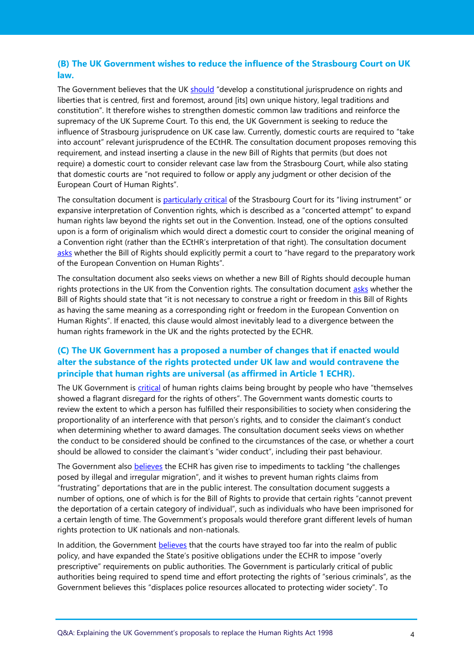#### **(B) The UK Government wishes to reduce the influence of the Strasbourg Court on UK law.**

The Government believes that the UK [should](https://www.gov.uk/government/consultations/human-rights-act-reform-a-modern-bill-of-rights/human-rights-act-reform-a-modern-bill-of-rights-consultation#appendix-2--proposed-draft-clauses) "develop a constitutional jurisprudence on rights and liberties that is centred, first and foremost, around [its] own unique history, legal traditions and constitution". It therefore wishes to strengthen domestic common law traditions and reinforce the supremacy of the UK Supreme Court. To this end, the UK Government is seeking to reduce the influence of Strasbourg jurisprudence on UK case law. Currently, domestic courts are required to "take into account" relevant jurisprudence of the ECtHR. The consultation document proposes removing this requirement, and instead inserting a clause in the new Bill of Rights that permits (but does not require) a domestic court to consider relevant case law from the Strasbourg Court, while also stating that domestic courts are "not required to follow or apply any judgment or other decision of the European Court of Human Rights".

The consultation document is [particularly critical](https://www.gov.uk/government/consultations/human-rights-act-reform-a-modern-bill-of-rights/human-rights-act-reform-a-modern-bill-of-rights-consultation#chapter-3--the-case-for-reforming-uk-human-rights-law) of the Strasbourg Court for its "living instrument" or expansive interpretation of Convention rights, which is described as a "concerted attempt" to expand human rights law beyond the rights set out in the Convention. Instead, one of the options consulted upon is a form of originalism which would direct a domestic court to consider the original meaning of a Convention right (rather than the ECtHR's interpretation of that right). The consultation document [asks](https://www.gov.uk/government/consultations/human-rights-act-reform-a-modern-bill-of-rights/human-rights-act-reform-a-modern-bill-of-rights-consultation#appendix-2--proposed-draft-clauses) whether the Bill of Rights should explicitly permit a court to "have regard to the preparatory work of the European Convention on Human Rights".

The consultation document also seeks views on whether a new Bill of Rights should decouple human rights protections in the UK from the Convention rights. The consultation document [asks](https://www.gov.uk/government/consultations/human-rights-act-reform-a-modern-bill-of-rights/human-rights-act-reform-a-modern-bill-of-rights-consultation#appendix-2--proposed-draft-clauses) whether the Bill of Rights should state that "it is not necessary to construe a right or freedom in this Bill of Rights as having the same meaning as a corresponding right or freedom in the European Convention on Human Rights". If enacted, this clause would almost inevitably lead to a divergence between the human rights framework in the UK and the rights protected by the ECHR.

#### **(C) The UK Government has a proposed a number of changes that if enacted would alter the substance of the rights protected under UK law and would contravene the principle that human rights are universal (as affirmed in Article 1 ECHR).**

The UK Government is [critical](https://www.gov.uk/government/consultations/human-rights-act-reform-a-modern-bill-of-rights/human-rights-act-reform-a-modern-bill-of-rights-consultation#chapter-3--the-case-for-reforming-uk-human-rights-law) of human rights claims being brought by people who have "themselves showed a flagrant disregard for the rights of others". The Government wants domestic courts to review the extent to which a person has fulfilled their responsibilities to society when considering the proportionality of an interference with that person's rights, and to consider the claimant's conduct when determining whether to award damages. The consultation document seeks views on whether the conduct to be considered should be confined to the circumstances of the case, or whether a court should be allowed to consider the claimant's "wider conduct", including their past behaviour.

The Government also [believes](https://www.gov.uk/government/consultations/human-rights-act-reform-a-modern-bill-of-rights/human-rights-act-reform-a-modern-bill-of-rights-consultation#chapter-4--the-governments-proposals) the ECHR has given rise to impediments to tackling "the challenges posed by illegal and irregular migration", and it wishes to prevent human rights claims from "frustrating" deportations that are in the public interest. The consultation document suggests a number of options, one of which is for the Bill of Rights to provide that certain rights "cannot prevent the deportation of a certain category of individual", such as individuals who have been imprisoned for a certain length of time. The Government's proposals would therefore grant different levels of human rights protection to UK nationals and non-nationals.

In addition, the Government [believes](https://www.gov.uk/government/consultations/human-rights-act-reform-a-modern-bill-of-rights/human-rights-act-reform-a-modern-bill-of-rights-consultation#chapter-3--the-case-for-reforming-uk-human-rights-law) that the courts have strayed too far into the realm of public policy, and have expanded the State's positive obligations under the ECHR to impose "overly prescriptive" requirements on public authorities. The Government is particularly critical of public authorities being required to spend time and effort protecting the rights of "serious criminals", as the Government believes this "displaces police resources allocated to protecting wider society". To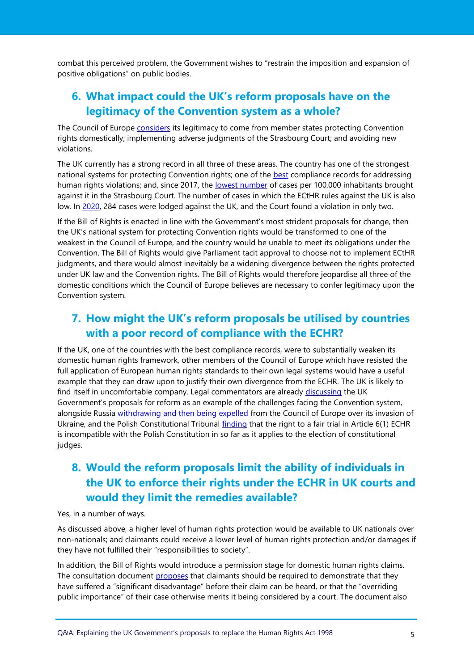combat this perceived problem, the Government wishes to "restrain the imposition and expansion of positive obligations" on public bodies.

## <span id="page-4-0"></span>**6. What impact could the UK's reform proposals have on the legitimacy of the Convention system as a whole?**

The Council of Europe [considers](https://rm.coe.int/16802ed005) its legitimacy to come from member states protecting Convention rights domestically; implementing adverse judgments of the Strasbourg Court; and avoiding new violations.

The UK currently has a strong record in all three of these areas. The country has one of the strongest national systems for protecting Convention rights; one of the [best](https://www.einnetwork.org/countries-overview) compliance records for addressing human rights violations; and, since 2017, the [lowest number](https://committees.parliament.uk/publications/9597/documents/162420/default/) of cases per 100,000 inhabitants brought against it in the Strasbourg Court. The number of cases in which the ECtHR rules against the UK is also low. In [2020,](https://committees.parliament.uk/publications/9597/documents/162420/default/) 284 cases were lodged against the UK, and the Court found a violation in only two.

If the Bill of Rights is enacted in line with the Government's most strident proposals for change, then the UK's national system for protecting Convention rights would be transformed to one of the weakest in the Council of Europe, and the country would be unable to meet its obligations under the Convention. The Bill of Rights would give Parliament tacit approval to choose not to implement ECtHR judgments, and there would almost inevitably be a widening divergence between the rights protected under UK law and the Convention rights. The Bill of Rights would therefore jeopardise all three of the domestic conditions which the Council of Europe believes are necessary to confer legitimacy upon the Convention system.

## <span id="page-4-1"></span>**7. How might the UK's reform proposals be utilised by countries with a poor record of compliance with the ECHR?**

If the UK, one of the countries with the best compliance records, were to substantially weaken its domestic human rights framework, other members of the Council of Europe which have resisted the full application of European human rights standards to their own legal systems would have a useful example that they can draw upon to justify their own divergence from the ECHR. The UK is likely to find itself in uncomfortable company. Legal commentators are already [discussing](https://www.echrblog.com/2022/04/call-for-abstracts-values-of-european.html) the UK Government's proposals for reform as an example of the challenges facing the Convention system, alongside Russia [withdrawing and then being expelled](https://www.coe.int/en/web/portal/-/the-russian-federation-is-excluded-from-the-council-of-europe) from the Council of Europe over its invasion of Ukraine, and the Polish Constitutional Tribunal [finding](https://trybunal.gov.pl/en/hearings/judgments/art/11820-dokonywanie-na-podstawie-art-6-ust-1-zd-1-ekpcz-przez-sady-krajowe-lub-miedzynarodowe-oceny-zgodnosci-z-konstytucja-i-ekpcz-ustaw-dotyczacych-ustroju-sadownictwa-wlasciwosci-sadow-oraz-ustawy-dotyczacej-krajowej-rady-sadownictwa) that the right to a fair trial in Article 6(1) ECHR is incompatible with the Polish Constitution in so far as it applies to the election of constitutional judges.

# <span id="page-4-2"></span>**8. Would the reform proposals limit the ability of individuals in the UK to enforce their rights under the ECHR in UK courts and would they limit the remedies available?**

Yes, in a number of ways.

As discussed above, a higher level of human rights protection would be available to UK nationals over non-nationals; and claimants could receive a lower level of human rights protection and/or damages if they have not fulfilled their "responsibilities to society".

In addition, the Bill of Rights would introduce a permission stage for domestic human rights claims. The consultation document [proposes](https://www.gov.uk/government/consultations/human-rights-act-reform-a-modern-bill-of-rights/human-rights-act-reform-a-modern-bill-of-rights-consultation#chapter-4--the-governments-proposals) that claimants should be required to demonstrate that they have suffered a "significant disadvantage" before their claim can be heard, or that the "overriding public importance" of their case otherwise merits it being considered by a court. The document also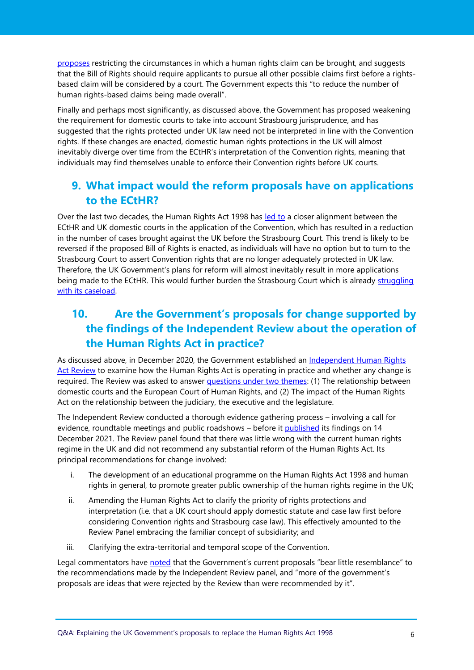[proposes](https://www.gov.uk/government/consultations/human-rights-act-reform-a-modern-bill-of-rights/human-rights-act-reform-a-modern-bill-of-rights-consultation#chapter-4--the-governments-proposals) restricting the circumstances in which a human rights claim can be brought, and suggests that the Bill of Rights should require applicants to pursue all other possible claims first before a rightsbased claim will be considered by a court. The Government expects this "to reduce the number of human rights-based claims being made overall".

Finally and perhaps most significantly, as discussed above, the Government has proposed weakening the requirement for domestic courts to take into account Strasbourg jurisprudence, and has suggested that the rights protected under UK law need not be interpreted in line with the Convention rights. If these changes are enacted, domestic human rights protections in the UK will almost inevitably diverge over time from the ECtHR's interpretation of the Convention rights, meaning that individuals may find themselves unable to enforce their Convention rights before UK courts.

### <span id="page-5-0"></span>**9. What impact would the reform proposals have on applications to the ECtHR?**

Over the last two decades, the Human Rights Act 1998 has [led to](https://committees.parliament.uk/publications/9597/documents/162420/default/) a closer alignment between the ECtHR and UK domestic courts in the application of the Convention, which has resulted in a reduction in the number of cases brought against the UK before the Strasbourg Court. This trend is likely to be reversed if the proposed Bill of Rights is enacted, as individuals will have no option but to turn to the Strasbourg Court to assert Convention rights that are no longer adequately protected in UK law. Therefore, the UK Government's plans for reform will almost inevitably result in more applications being made to the ECtHR. This would further burden the Strasbourg Court which is already struggling [with its caseload.](https://rm.coe.int/2021-cm-annual-report-en/1680a60140)

# <span id="page-5-1"></span>**10. Are the Government's proposals for change supported by the findings of the Independent Review about the operation of the Human Rights Act in practice?**

As discussed above, in December 2020, the Government established an [Independent Human Rights](https://www.gov.uk/guidance/independent-human-rights-act-review#about-the-independent-human-rights-act-review)  [Act Review](https://www.gov.uk/guidance/independent-human-rights-act-review#about-the-independent-human-rights-act-review) to examine how the Human Rights Act is operating in practice and whether any change is required. The Review was asked to answer [questions under two themes:](https://assets.publishing.service.gov.uk/government/uploads/system/uploads/attachment_data/file/953347/human-rights-review-tor.pdf) (1) The relationship between domestic courts and the European Court of Human Rights, and (2) The impact of the Human Rights Act on the relationship between the judiciary, the executive and the legislature.

The Independent Review conducted a thorough evidence gathering process – involving a call for evidence, roundtable meetings and public roadshows – before it [published](https://assets.publishing.service.gov.uk/government/uploads/system/uploads/attachment_data/file/1040525/ihrar-final-report.pdf) its findings on 14 December 2021. The Review panel found that there was little wrong with the current human rights regime in the UK and did not recommend any substantial reform of the Human Rights Act. Its principal recommendations for change involved:

- i. The development of an educational programme on the Human Rights Act 1998 and human rights in general, to promote greater public ownership of the human rights regime in the UK;
- ii. Amending the Human Rights Act to clarify the priority of rights protections and interpretation (i.e. that a UK court should apply domestic statute and case law first before considering Convention rights and Strasbourg case law). This effectively amounted to the Review Panel embracing the familiar concept of subsidiarity; and
- iii. Clarifying the extra-territorial and temporal scope of the Convention.

Legal commentators have [noted](https://ukhumanrightsblog.com/2022/01/24/the-independent-human-rights-act-review-and-the-governments-bill-of-rights/) that the Government's current proposals "bear little resemblance" to the recommendations made by the Independent Review panel, and "more of the government's proposals are ideas that were rejected by the Review than were recommended by it".